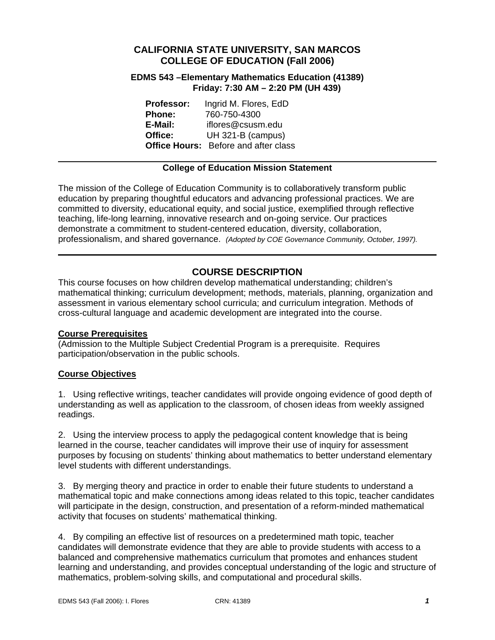# **CALIFORNIA STATE UNIVERSITY, SAN MARCOS COLLEGE OF EDUCATION (Fall 2006)**

## **EDMS 543 –Elementary Mathematics Education (41389) Friday: 7:30 AM – 2:20 PM (UH 439)**

| <b>Professor:</b> | Ingrid M. Flores, EdD                       |
|-------------------|---------------------------------------------|
| <b>Phone:</b>     | 760-750-4300                                |
| E-Mail:           | iflores@csusm.edu                           |
| Office:           | UH 321-B (campus)                           |
|                   | <b>Office Hours:</b> Before and after class |

# **College of Education Mission Statement**

The mission of the College of Education Community is to collaboratively transform public education by preparing thoughtful educators and advancing professional practices. We are committed to diversity, educational equity, and social justice, exemplified through reflective teaching, life-long learning, innovative research and on-going service. Our practices demonstrate a commitment to student-centered education, diversity, collaboration, professionalism, and shared governance. *(Adopted by COE Governance Community, October, 1997).* 

# **COURSE DESCRIPTION**

This course focuses on how children develop mathematical understanding; children's mathematical thinking; curriculum development; methods, materials, planning, organization and assessment in various elementary school curricula; and curriculum integration. Methods of cross-cultural language and academic development are integrated into the course.

#### **Course Prerequisites**

(Admission to the Multiple Subject Credential Program is a prerequisite. Requires participation/observation in the public schools.

#### **Course Objectives**

1. Using reflective writings, teacher candidates will provide ongoing evidence of good depth of understanding as well as application to the classroom, of chosen ideas from weekly assigned readings.

2. Using the interview process to apply the pedagogical content knowledge that is being learned in the course, teacher candidates will improve their use of inquiry for assessment purposes by focusing on students' thinking about mathematics to better understand elementary level students with different understandings.

3. By merging theory and practice in order to enable their future students to understand a mathematical topic and make connections among ideas related to this topic, teacher candidates will participate in the design, construction, and presentation of a reform-minded mathematical activity that focuses on students' mathematical thinking.

4. By compiling an effective list of resources on a predetermined math topic, teacher candidates will demonstrate evidence that they are able to provide students with access to a balanced and comprehensive mathematics curriculum that promotes and enhances student learning and understanding, and provides conceptual understanding of the logic and structure of mathematics, problem-solving skills, and computational and procedural skills.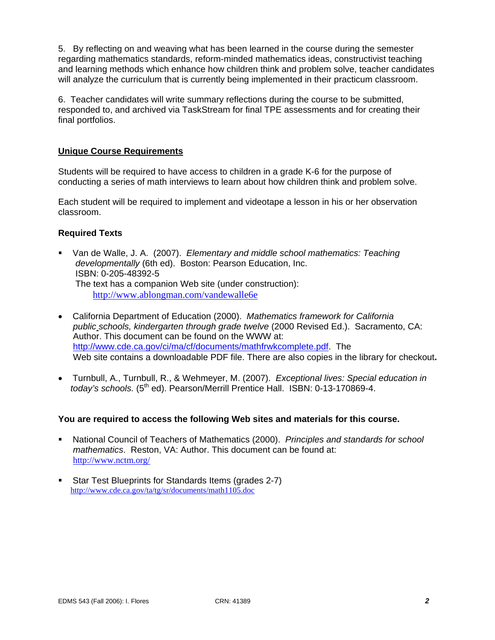5. By reflecting on and weaving what has been learned in the course during the semester regarding mathematics standards, reform-minded mathematics ideas, constructivist teaching and learning methods which enhance how children think and problem solve, teacher candidates will analyze the curriculum that is currently being implemented in their practicum classroom.

6. Teacher candidates will write summary reflections during the course to be submitted, responded to, and archived via TaskStream for final TPE assessments and for creating their final portfolios.

## **Unique Course Requirements**

Students will be required to have access to children in a grade K-6 for the purpose of conducting a series of math interviews to learn about how children think and problem solve.

Each student will be required to implement and videotape a lesson in his or her observation classroom.

#### **Required Texts**

- Van de Walle, J. A. (2007). *Elementary and middle school mathematics: Teaching developmentally* (6th ed). Boston: Pearson Education, Inc. ISBN: 0-205-48392-5 The text has a companion Web site (under construction): http://www.ablongman.com/vandewalle6e
- California Department of Education (2000). *Mathematics framework for California public schools, kindergarten through grade twelve* (2000 Revised Ed.). Sacramento, CA: Author. This document can be found on the WWW at: http://www.cde.ca.gov/ci/ma/cf/documents/mathfrwkcomplete.pdf. The Web site contains a downloadable PDF file. There are also copies in the library for checkout**.**
- Turnbull, A., Turnbull, R., & Wehmeyer, M. (2007). *Exceptional lives: Special education in today's schools.* (5th ed). Pearson/Merrill Prentice Hall. ISBN: 0-13-170869-4.

#### **You are required to access the following Web sites and materials for this course.**

- National Council of Teachers of Mathematics (2000). *Principles and standards for school mathematics*. Reston, VA: Author. This document can be found at: http://www.nctm.org/
- Star Test Blueprints for Standards Items (grades 2-7) http://www.cde.ca.gov/ta/tg/sr/documents/math1105.doc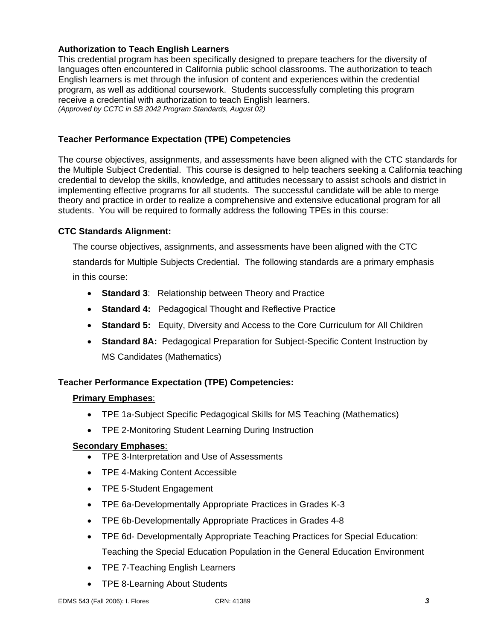# **Authorization to Teach English Learners**

This credential program has been specifically designed to prepare teachers for the diversity of languages often encountered in California public school classrooms. The authorization to teach English learners is met through the infusion of content and experiences within the credential program, as well as additional coursework. Students successfully completing this program receive a credential with authorization to teach English learners. *(Approved by CCTC in SB 2042 Program Standards, August 02)*

# **Teacher Performance Expectation (TPE) Competencies**

The course objectives, assignments, and assessments have been aligned with the CTC standards for the Multiple Subject Credential. This course is designed to help teachers seeking a California teaching credential to develop the skills, knowledge, and attitudes necessary to assist schools and district in implementing effective programs for all students. The successful candidate will be able to merge theory and practice in order to realize a comprehensive and extensive educational program for all students. You will be required to formally address the following TPEs in this course:

# **CTC Standards Alignment:**

The course objectives, assignments, and assessments have been aligned with the CTC standards for Multiple Subjects Credential. The following standards are a primary emphasis in this course:

- **Standard 3**: Relationship between Theory and Practice
- **Standard 4:** Pedagogical Thought and Reflective Practice
- **Standard 5:** Equity, Diversity and Access to the Core Curriculum for All Children
- **Standard 8A:** Pedagogical Preparation for Subject-Specific Content Instruction by MS Candidates (Mathematics)

# **Teacher Performance Expectation (TPE) Competencies:**

#### **Primary Emphases**:

- TPE 1a-Subject Specific Pedagogical Skills for MS Teaching (Mathematics)
- TPE 2-Monitoring Student Learning During Instruction

# **Secondary Emphases**:

- TPE 3-Interpretation and Use of Assessments
- TPE 4-Making Content Accessible
- TPE 5-Student Engagement
- TPE 6a-Developmentally Appropriate Practices in Grades K-3
- TPE 6b-Developmentally Appropriate Practices in Grades 4-8
- TPE 6d- Developmentally Appropriate Teaching Practices for Special Education: Teaching the Special Education Population in the General Education Environment
- TPE 7-Teaching English Learners
- TPE 8-Learning About Students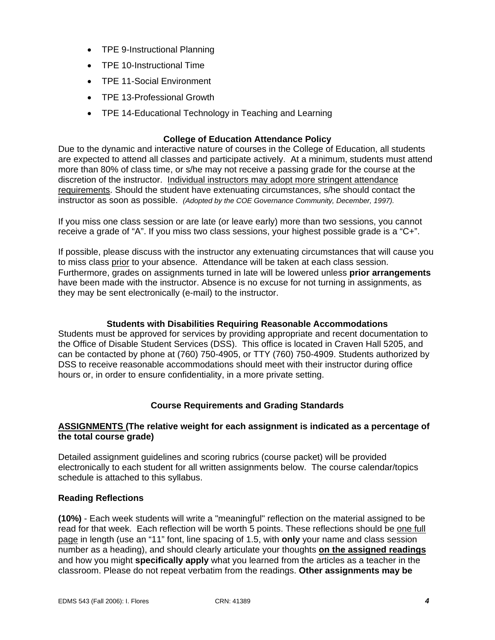- TPE 9-Instructional Planning
- TPE 10-Instructional Time
- TPE 11-Social Environment
- TPE 13-Professional Growth
- TPE 14-Educational Technology in Teaching and Learning

# **College of Education Attendance Policy**

Due to the dynamic and interactive nature of courses in the College of Education, all students are expected to attend all classes and participate actively. At a minimum, students must attend more than 80% of class time, or s/he may not receive a passing grade for the course at the discretion of the instructor. Individual instructors may adopt more stringent attendance requirements. Should the student have extenuating circumstances, s/he should contact the instructor as soon as possible. *(Adopted by the COE Governance Community, December, 1997).*

If you miss one class session or are late (or leave early) more than two sessions, you cannot receive a grade of "A". If you miss two class sessions, your highest possible grade is a "C+".

If possible, please discuss with the instructor any extenuating circumstances that will cause you to miss class prior to your absence. Attendance will be taken at each class session. Furthermore, grades on assignments turned in late will be lowered unless **prior arrangements**  have been made with the instructor. Absence is no excuse for not turning in assignments, as they may be sent electronically (e-mail) to the instructor.

### **Students with Disabilities Requiring Reasonable Accommodations**

Students must be approved for services by providing appropriate and recent documentation to the Office of Disable Student Services (DSS). This office is located in Craven Hall 5205, and can be contacted by phone at (760) 750-4905, or TTY (760) 750-4909. Students authorized by DSS to receive reasonable accommodations should meet with their instructor during office hours or, in order to ensure confidentiality, in a more private setting.

# **Course Requirements and Grading Standards**

## **ASSIGNMENTS (The relative weight for each assignment is indicated as a percentage of the total course grade)**

Detailed assignment guidelines and scoring rubrics (course packet) will be provided electronically to each student for all written assignments below. The course calendar/topics schedule is attached to this syllabus.

# **Reading Reflections**

**(10%)** - Each week students will write a "meaningful" reflection on the material assigned to be read for that week. Each reflection will be worth 5 points. These reflections should be one full page in length (use an "11" font, line spacing of 1.5, with **only** your name and class session number as a heading), and should clearly articulate your thoughts **on the assigned readings** and how you might **specifically apply** what you learned from the articles as a teacher in the classroom. Please do not repeat verbatim from the readings. **Other assignments may be**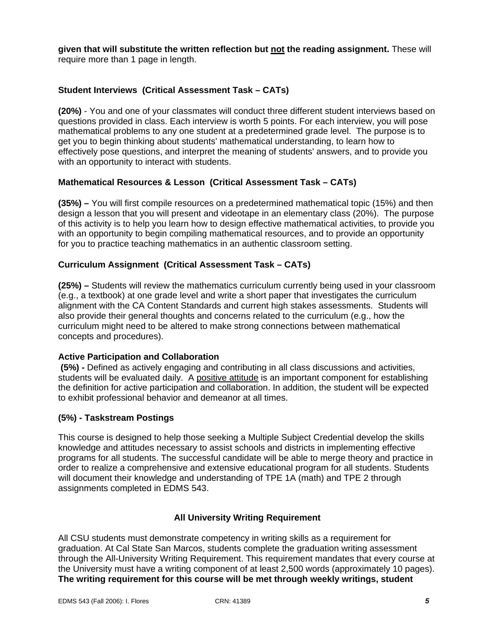**given that will substitute the written reflection but not the reading assignment.** These will require more than 1 page in length.

# **Student Interviews (Critical Assessment Task – CATs)**

**(20%)** - You and one of your classmates will conduct three different student interviews based on questions provided in class. Each interview is worth 5 points. For each interview, you will pose mathematical problems to any one student at a predetermined grade level. The purpose is to get you to begin thinking about students' mathematical understanding, to learn how to effectively pose questions, and interpret the meaning of students' answers, and to provide you with an opportunity to interact with students.

# **Mathematical Resources & Lesson (Critical Assessment Task – CATs)**

**(35%) –** You will first compile resources on a predetermined mathematical topic (15%) and then design a lesson that you will present and videotape in an elementary class (20%). The purpose of this activity is to help you learn how to design effective mathematical activities, to provide you with an opportunity to begin compiling mathematical resources, and to provide an opportunity for you to practice teaching mathematics in an authentic classroom setting.

# **Curriculum Assignment (Critical Assessment Task – CATs)**

**(25%) –** Students will review the mathematics curriculum currently being used in your classroom (e.g., a textbook) at one grade level and write a short paper that investigates the curriculum alignment with the CA Content Standards and current high stakes assessments. Students will also provide their general thoughts and concerns related to the curriculum (e.g., how the curriculum might need to be altered to make strong connections between mathematical concepts and procedures).

#### **Active Participation and Collaboration**

 **(5%) -** Defined as actively engaging and contributing in all class discussions and activities, students will be evaluated daily. A positive attitude is an important component for establishing the definition for active participation and collaboration. In addition, the student will be expected to exhibit professional behavior and demeanor at all times.

#### **(5%) - Taskstream Postings**

This course is designed to help those seeking a Multiple Subject Credential develop the skills knowledge and attitudes necessary to assist schools and districts in implementing effective programs for all students. The successful candidate will be able to merge theory and practice in order to realize a comprehensive and extensive educational program for all students. Students will document their knowledge and understanding of TPE 1A (math) and TPE 2 through assignments completed in EDMS 543.

#### **All University Writing Requirement**

All CSU students must demonstrate competency in writing skills as a requirement for graduation. At Cal State San Marcos, students complete the graduation writing assessment through the All-University Writing Requirement. This requirement mandates that every course at the University must have a writing component of at least 2,500 words (approximately 10 pages). **The writing requirement for this course will be met through weekly writings, student**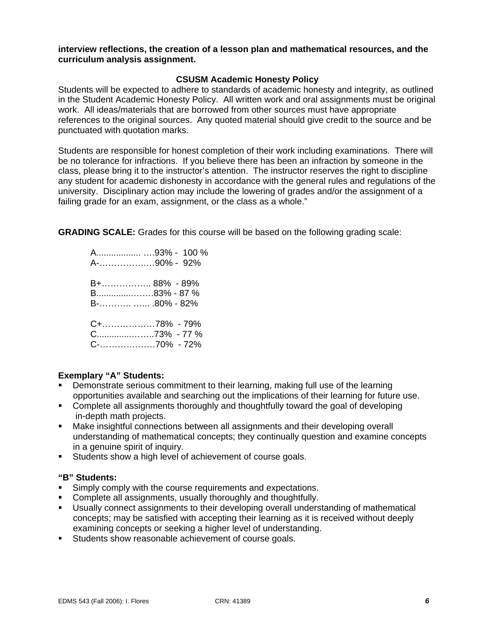#### **interview reflections, the creation of a lesson plan and mathematical resources, and the curriculum analysis assignment.**

#### **CSUSM Academic Honesty Policy**

Students will be expected to adhere to standards of academic honesty and integrity, as outlined in the Student Academic Honesty Policy. All written work and oral assignments must be original work. All ideas/materials that are borrowed from other sources must have appropriate references to the original sources. Any quoted material should give credit to the source and be punctuated with quotation marks.

Students are responsible for honest completion of their work including examinations. There will be no tolerance for infractions. If you believe there has been an infraction by someone in the class, please bring it to the instructor's attention. The instructor reserves the right to discipline any student for academic dishonesty in accordance with the general rules and regulations of the university. Disciplinary action may include the lowering of grades and/or the assignment of a failing grade for an exam, assignment, or the class as a whole."

**GRADING SCALE:** Grades for this course will be based on the following grading scale:

 A.................. ….93% - 100 % A-…………….…90% - 92% B+…………….. 88% - 89% B...............…….83% - 87 % B-……….. …... .80% - 82% C+………………78% - 79% C..............……..73% - 77 % C-………….……70% - 72%

# **Exemplary "A" Students:**

- Demonstrate serious commitment to their learning, making full use of the learning opportunities available and searching out the implications of their learning for future use.
- Complete all assignments thoroughly and thoughtfully toward the goal of developing in-depth math projects.
- Make insightful connections between all assignments and their developing overall understanding of mathematical concepts; they continually question and examine concepts in a genuine spirit of inquiry.
- **Students show a high level of achievement of course goals.**

#### **"B" Students:**

- **Simply comply with the course requirements and expectations.**
- Complete all assignments, usually thoroughly and thoughtfully.
- Usually connect assignments to their developing overall understanding of mathematical concepts; may be satisfied with accepting their learning as it is received without deeply examining concepts or seeking a higher level of understanding.
- Students show reasonable achievement of course goals.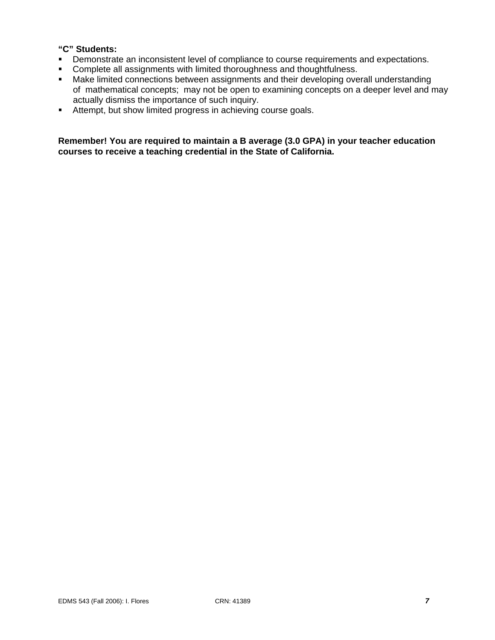## **"C" Students:**

- **•** Demonstrate an inconsistent level of compliance to course requirements and expectations.
- **Complete all assignments with limited thoroughness and thoughtfulness.**
- **Make limited connections between assignments and their developing overall understanding**  of mathematical concepts; may not be open to examining concepts on a deeper level and may actually dismiss the importance of such inquiry.
- Attempt, but show limited progress in achieving course goals.

**Remember! You are required to maintain a B average (3.0 GPA) in your teacher education courses to receive a teaching credential in the State of California.**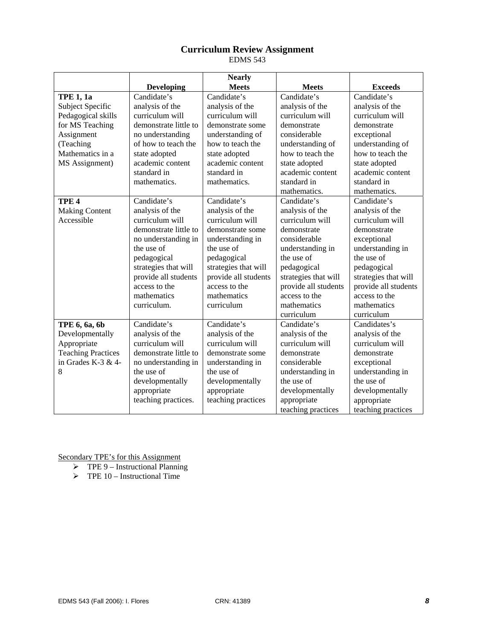# **Curriculum Review Assignment**

EDMS 543

|                           |                       | <b>Nearly</b>        |                      |                      |
|---------------------------|-----------------------|----------------------|----------------------|----------------------|
|                           | <b>Developing</b>     | <b>Meets</b>         | <b>Meets</b>         | <b>Exceeds</b>       |
| <b>TPE 1, 1a</b>          | Candidate's           | Candidate's          | Candidate's          | Candidate's          |
| <b>Subject Specific</b>   | analysis of the       | analysis of the      | analysis of the      | analysis of the      |
| Pedagogical skills        | curriculum will       | curriculum will      | curriculum will      | curriculum will      |
| for MS Teaching           | demonstrate little to | demonstrate some     | demonstrate          | demonstrate          |
| Assignment                | no understanding      | understanding of     | considerable         | exceptional          |
| (Teaching                 | of how to teach the   | how to teach the     | understanding of     | understanding of     |
| Mathematics in a          | state adopted         | state adopted        | how to teach the     | how to teach the     |
| MS Assignment)            | academic content      | academic content     | state adopted        | state adopted        |
|                           | standard in           | standard in          | academic content     | academic content     |
|                           | mathematics.          | mathematics.         | standard in          | standard in          |
|                           |                       |                      | mathematics.         | mathematics.         |
| TPE <sub>4</sub>          | Candidate's           | Candidate's          | Candidate's          | Candidate's          |
| <b>Making Content</b>     | analysis of the       | analysis of the      | analysis of the      | analysis of the      |
| Accessible                | curriculum will       | curriculum will      | curriculum will      | curriculum will      |
|                           | demonstrate little to | demonstrate some     | demonstrate          | demonstrate          |
|                           | no understanding in   | understanding in     | considerable         | exceptional          |
|                           | the use of            | the use of           | understanding in     | understanding in     |
|                           | pedagogical           | pedagogical          | the use of           | the use of           |
|                           | strategies that will  | strategies that will | pedagogical          | pedagogical          |
|                           | provide all students  | provide all students | strategies that will | strategies that will |
|                           | access to the         | access to the        | provide all students | provide all students |
|                           | mathematics           | mathematics          | access to the        | access to the        |
|                           | curriculum.           | curriculum           | mathematics          | mathematics          |
|                           |                       |                      | curriculum           | curriculum           |
| TPE 6, 6a, 6b             | Candidate's           | Candidate's          | Candidate's          | Candidates's         |
| Developmentally           | analysis of the       | analysis of the      | analysis of the      | analysis of the      |
| Appropriate               | curriculum will       | curriculum will      | curriculum will      | curriculum will      |
| <b>Teaching Practices</b> | demonstrate little to | demonstrate some     | demonstrate          | demonstrate          |
| in Grades K-3 & 4-        | no understanding in   | understanding in     | considerable         | exceptional          |
| 8                         | the use of            | the use of           | understanding in     | understanding in     |
|                           | developmentally       | developmentally      | the use of           | the use of           |
|                           | appropriate           | appropriate          | developmentally      | developmentally      |
|                           | teaching practices.   | teaching practices   | appropriate          | appropriate          |
|                           |                       |                      | teaching practices   | teaching practices   |

- $\triangleright$  TPE 9 Instructional Planning
- $\triangleright$  TPE 10 Instructional Time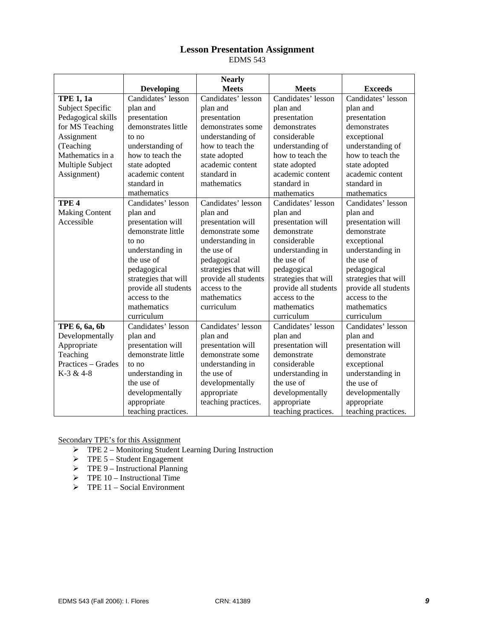# **Lesson Presentation Assignment**

EDMS 543

|                       |                      | <b>Nearly</b>        |                      |                      |
|-----------------------|----------------------|----------------------|----------------------|----------------------|
|                       | <b>Developing</b>    | <b>Meets</b>         | <b>Meets</b>         | <b>Exceeds</b>       |
| <b>TPE 1, 1a</b>      | Candidates' lesson   | Candidates' lesson   | Candidates' lesson   | Candidates' lesson   |
| Subject Specific      | plan and             | plan and             | plan and             | plan and             |
| Pedagogical skills    | presentation         | presentation         | presentation         | presentation         |
| for MS Teaching       | demonstrates little  | demonstrates some    | demonstrates         | demonstrates         |
| Assignment            | to no                | understanding of     | considerable         | exceptional          |
| (Teaching             | understanding of     | how to teach the     | understanding of     | understanding of     |
| Mathematics in a      | how to teach the     | state adopted        | how to teach the     | how to teach the     |
| Multiple Subject      | state adopted        | academic content     | state adopted        | state adopted        |
| Assignment)           | academic content     | standard in          | academic content     | academic content     |
|                       | standard in          | mathematics          | standard in          | standard in          |
|                       | mathematics          |                      | mathematics          | mathematics          |
| TPE <sub>4</sub>      | Candidates' lesson   | Candidates' lesson   | Candidates' lesson   | Candidates' lesson   |
| <b>Making Content</b> | plan and             | plan and             | plan and             | plan and             |
| Accessible            | presentation will    | presentation will    | presentation will    | presentation will    |
|                       | demonstrate little   | demonstrate some     | demonstrate          | demonstrate          |
|                       | to no                | understanding in     | considerable         | exceptional          |
|                       | understanding in     | the use of           | understanding in     | understanding in     |
|                       | the use of           | pedagogical          | the use of           | the use of           |
|                       | pedagogical          | strategies that will | pedagogical          | pedagogical          |
|                       | strategies that will | provide all students | strategies that will | strategies that will |
|                       | provide all students | access to the        | provide all students | provide all students |
|                       | access to the        | mathematics          | access to the        | access to the        |
|                       | mathematics          | curriculum           | mathematics          | mathematics          |
|                       | curriculum           |                      | curriculum           | curriculum           |
| TPE 6, 6a, 6b         | Candidates' lesson   | Candidates' lesson   | Candidates' lesson   | Candidates' lesson   |
| Developmentally       | plan and             | plan and             | plan and             | plan and             |
| Appropriate           | presentation will    | presentation will    | presentation will    | presentation will    |
| Teaching              | demonstrate little   | demonstrate some     | demonstrate          | demonstrate          |
| Practices – Grades    | to no                | understanding in     | considerable         | exceptional          |
| K-3 & 4-8             | understanding in     | the use of           | understanding in     | understanding in     |
|                       | the use of           | developmentally      | the use of           | the use of           |
|                       | developmentally      | appropriate          | developmentally      | developmentally      |
|                       | appropriate          | teaching practices.  | appropriate          | appropriate          |
|                       | teaching practices.  |                      | teaching practices.  | teaching practices.  |

- ¾ TPE 2 Monitoring Student Learning During Instruction
- $\triangleright$  TPE 5 Student Engagement
- $\triangleright$  TPE 9 Instructional Planning
- $\triangleright$  TPE 10 Instructional Time
- $\triangleright$  TPE 11 Social Environment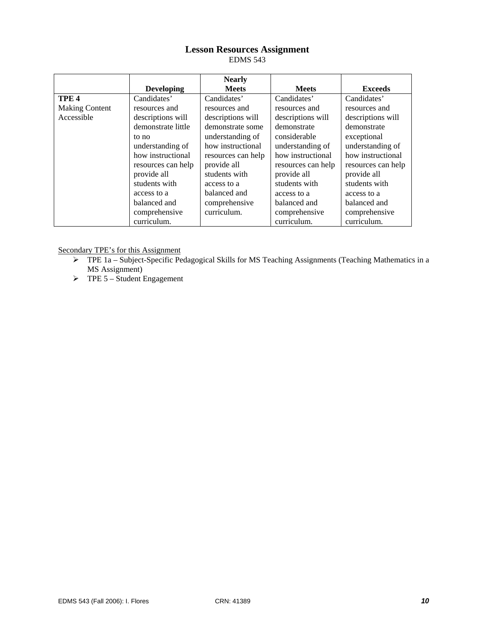# **Lesson Resources Assignment**

EDMS 543

|                       |                    | <b>Nearly</b>      |                    |                    |
|-----------------------|--------------------|--------------------|--------------------|--------------------|
|                       | <b>Developing</b>  | <b>Meets</b>       | <b>Meets</b>       | <b>Exceeds</b>     |
| TPE <sub>4</sub>      | Candidates'        | Candidates'        | Candidates'        | Candidates'        |
| <b>Making Content</b> | resources and      | resources and      | resources and      | resources and      |
| Accessible            | descriptions will  | descriptions will  | descriptions will  | descriptions will  |
|                       | demonstrate little | demonstrate some   | demonstrate        | demonstrate        |
|                       | to no              | understanding of   | considerable       | exceptional        |
|                       | understanding of   | how instructional  | understanding of   | understanding of   |
|                       | how instructional  | resources can help | how instructional  | how instructional  |
|                       | resources can help | provide all        | resources can help | resources can help |
|                       | provide all        | students with      | provide all        | provide all        |
|                       | students with      | access to a        | students with      | students with      |
|                       | access to a        | balanced and       | access to a        | access to a        |
|                       | balanced and       | comprehensive      | balanced and       | balanced and       |
|                       | comprehensive      | curriculum.        | comprehensive      | comprehensive      |
|                       | curriculum.        |                    | curriculum.        | curriculum.        |

- ¾ TPE 1a Subject-Specific Pedagogical Skills for MS Teaching Assignments (Teaching Mathematics in a MS Assignment)
- $\triangleright$  TPE 5 Student Engagement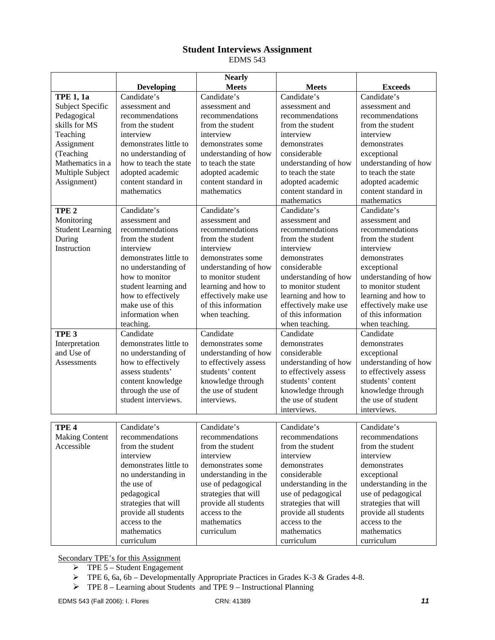# **Student Interviews Assignment**

EDMS 543

|                         |                                                                    | <b>Nearly</b>                              |                                                                    |                                                                    |
|-------------------------|--------------------------------------------------------------------|--------------------------------------------|--------------------------------------------------------------------|--------------------------------------------------------------------|
|                         | <b>Developing</b>                                                  | <b>Meets</b>                               | <b>Meets</b>                                                       | <b>Exceeds</b>                                                     |
| <b>TPE 1, 1a</b>        | Candidate's                                                        | Candidate's                                | Candidate's                                                        | Candidate's                                                        |
| Subject Specific        | assessment and                                                     | assessment and                             | assessment and                                                     | assessment and                                                     |
| Pedagogical             | recommendations                                                    | recommendations                            | recommendations                                                    | recommendations                                                    |
| skills for MS           | from the student                                                   | from the student                           | from the student                                                   | from the student                                                   |
| Teaching                | interview                                                          | interview                                  | interview                                                          | interview                                                          |
| Assignment              | demonstrates little to                                             | demonstrates some                          | demonstrates                                                       | demonstrates                                                       |
| (Teaching               | no understanding of                                                | understanding of how                       | considerable                                                       | exceptional                                                        |
| Mathematics in a        | how to teach the state                                             | to teach the state                         | understanding of how                                               | understanding of how                                               |
| Multiple Subject        | adopted academic                                                   | adopted academic                           | to teach the state                                                 | to teach the state                                                 |
| Assignment)             | content standard in                                                | content standard in                        | adopted academic                                                   | adopted academic                                                   |
|                         | mathematics                                                        | mathematics                                | content standard in                                                | content standard in                                                |
|                         |                                                                    |                                            | mathematics                                                        | mathematics                                                        |
| TPE <sub>2</sub>        | Candidate's                                                        | Candidate's                                | Candidate's                                                        | Candidate's                                                        |
| Monitoring              | assessment and                                                     | assessment and                             | assessment and                                                     | assessment and                                                     |
| <b>Student Learning</b> | recommendations                                                    | recommendations                            | recommendations                                                    | recommendations                                                    |
| During                  | from the student                                                   | from the student                           | from the student                                                   | from the student                                                   |
| Instruction             | interview                                                          | interview                                  | interview                                                          | interview                                                          |
|                         | demonstrates little to                                             | demonstrates some                          | demonstrates                                                       | demonstrates                                                       |
|                         | no understanding of                                                | understanding of how                       | considerable                                                       | exceptional                                                        |
|                         | how to monitor                                                     | to monitor student                         | understanding of how                                               | understanding of how                                               |
|                         | student learning and                                               | learning and how to                        | to monitor student                                                 | to monitor student                                                 |
|                         | how to effectively                                                 | effectively make use                       | learning and how to                                                | learning and how to                                                |
|                         | make use of this                                                   | of this information                        | effectively make use                                               | effectively make use                                               |
|                         | information when                                                   | when teaching.                             | of this information                                                | of this information                                                |
|                         | teaching.                                                          |                                            | when teaching.                                                     | when teaching.                                                     |
| TPE <sub>3</sub>        | Candidate                                                          | Candidate                                  | Candidate                                                          | Candidate                                                          |
| Interpretation          | demonstrates little to                                             | demonstrates some                          | demonstrates                                                       | demonstrates                                                       |
| and Use of              | no understanding of                                                | understanding of how                       | considerable                                                       | exceptional                                                        |
| Assessments             | how to effectively                                                 | to effectively assess                      | understanding of how                                               | understanding of how                                               |
|                         | assess students'                                                   | students' content                          | to effectively assess                                              | to effectively assess                                              |
|                         | content knowledge                                                  | knowledge through                          | students' content                                                  | students' content                                                  |
|                         | through the use of                                                 | the use of student                         | knowledge through                                                  | knowledge through                                                  |
|                         | student interviews.                                                | interviews.                                | the use of student                                                 | the use of student                                                 |
|                         |                                                                    |                                            | interviews.                                                        | interviews.                                                        |
|                         |                                                                    |                                            |                                                                    |                                                                    |
| TPE <sub>4</sub>        | Candidate's                                                        | Candidate's                                | Candidate's                                                        | Candidate's                                                        |
| <b>Making Content</b>   | recommendations                                                    | recommendations                            | recommendations                                                    | recommendations                                                    |
| Accessible              | from the student                                                   | from the student                           | from the student                                                   | from the student                                                   |
|                         | interview                                                          | interview                                  | interview                                                          | interview                                                          |
|                         | demonstrates little to                                             | demonstrates some                          | demonstrates                                                       | demonstrates                                                       |
|                         | no understanding in                                                | understanding in the                       | considerable                                                       | exceptional                                                        |
|                         | the use of                                                         | use of pedagogical                         | understanding in the                                               | understanding in the                                               |
|                         | pedagogical                                                        | strategies that will                       | use of pedagogical                                                 | use of pedagogical                                                 |
|                         | strategies that will                                               | provide all students                       | strategies that will                                               | strategies that will                                               |
|                         |                                                                    |                                            |                                                                    |                                                                    |
|                         |                                                                    |                                            |                                                                    |                                                                    |
|                         |                                                                    |                                            |                                                                    |                                                                    |
|                         |                                                                    |                                            |                                                                    |                                                                    |
|                         | provide all students<br>access to the<br>mathematics<br>curriculum | access to the<br>mathematics<br>curriculum | provide all students<br>access to the<br>mathematics<br>curriculum | provide all students<br>access to the<br>mathematics<br>curriculum |

- $\triangleright$  TPE 5 Student Engagement
- $\triangleright$  TPE 6, 6a, 6b Developmentally Appropriate Practices in Grades K-3 & Grades 4-8.
- $\triangleright$  TPE 8 Learning about Students and TPE 9 Instructional Planning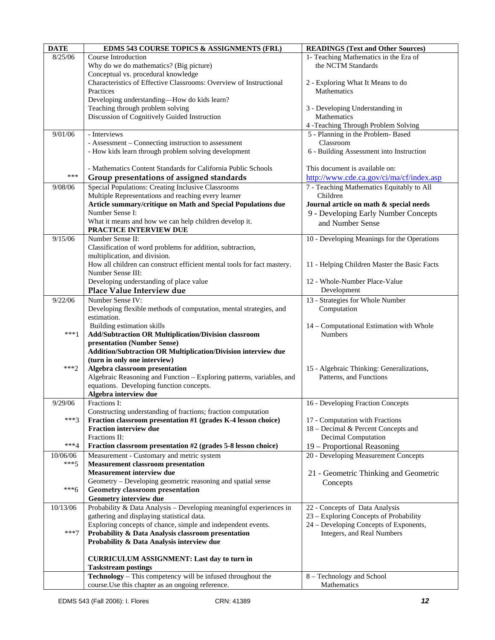| <b>DATE</b>        | EDMS 543 COURSE TOPICS & ASSIGNMENTS (FRI.)                                                     | <b>READINGS (Text and Other Sources)</b>     |
|--------------------|-------------------------------------------------------------------------------------------------|----------------------------------------------|
| 8/25/06            | Course Introduction                                                                             | 1- Teaching Mathematics in the Era of        |
|                    | Why do we do mathematics? (Big picture)                                                         | the NCTM Standards                           |
|                    | Conceptual vs. procedural knowledge                                                             |                                              |
|                    | Characteristics of Effective Classrooms: Overview of Instructional                              | 2 - Exploring What It Means to do            |
|                    | Practices                                                                                       | Mathematics                                  |
|                    | Developing understanding-How do kids learn?                                                     |                                              |
|                    | Teaching through problem solving                                                                | 3 - Developing Understanding in              |
|                    | Discussion of Cognitively Guided Instruction                                                    | Mathematics                                  |
|                    |                                                                                                 | 4 -Teaching Through Problem Solving          |
| 9/01/06            | - Interviews                                                                                    | 5 - Planning in the Problem-Based            |
|                    | - Assessment – Connecting instruction to assessment                                             | Classroom                                    |
|                    | - How kids learn through problem solving development                                            | 6 - Building Assessment into Instruction     |
|                    |                                                                                                 |                                              |
|                    | - Mathematics Content Standards for California Public Schools                                   | This document is available on:               |
| ***                | Group presentations of assigned standards                                                       | http://www.cde.ca.gov/ci/ma/cf/index.asp     |
| 9/08/06            | Special Populations: Creating Inclusive Classrooms                                              | 7 - Teaching Mathematics Equitably to All    |
|                    | Multiple Representations and reaching every learner                                             | Children                                     |
|                    | Article summary/critique on Math and Special Populations due                                    | Journal article on math & special needs      |
|                    | Number Sense I:                                                                                 | 9 - Developing Early Number Concepts         |
|                    | What it means and how we can help children develop it.                                          | and Number Sense                             |
|                    | PRACTICE INTERVIEW DUE                                                                          |                                              |
| 9/15/06            | Number Sense II:                                                                                | 10 - Developing Meanings for the Operations  |
|                    | Classification of word problems for addition, subtraction,                                      |                                              |
|                    | multiplication, and division.                                                                   |                                              |
|                    | How all children can construct efficient mental tools for fact mastery.                         | 11 - Helping Children Master the Basic Facts |
|                    | Number Sense III:                                                                               |                                              |
|                    | Developing understanding of place value                                                         | 12 - Whole-Number Place-Value                |
|                    | Place Value Interview due                                                                       | Development                                  |
| 9/22/06            | Number Sense IV:                                                                                | 13 - Strategies for Whole Number             |
|                    | Developing flexible methods of computation, mental strategies, and                              | Computation                                  |
|                    | estimation.                                                                                     |                                              |
|                    | Building estimation skills                                                                      | 14 - Computational Estimation with Whole     |
| $***1$             | Add/Subtraction OR Multiplication/Division classroom                                            | <b>Numbers</b>                               |
|                    | presentation (Number Sense)                                                                     |                                              |
|                    | Addition/Subtraction OR Multiplication/Division interview due                                   |                                              |
|                    | (turn in only one interview)                                                                    |                                              |
| $***2$             | Algebra classroom presentation                                                                  | 15 - Algebraic Thinking: Generalizations,    |
|                    | Algebraic Reasoning and Function - Exploring patterns, variables, and                           | Patterns, and Functions                      |
|                    | equations. Developing function concepts.                                                        |                                              |
|                    | Algebra interview due                                                                           |                                              |
| 9/29/06            | Fractions I:                                                                                    | 16 - Developing Fraction Concepts            |
|                    | Constructing understanding of fractions; fraction computation                                   |                                              |
| $***3$             | Fraction classroom presentation #1 (grades K-4 lesson choice)                                   | 17 - Computation with Fractions              |
|                    | <b>Fraction interview due</b>                                                                   | 18 – Decimal & Percent Concepts and          |
| $***4$             | Fractions II:                                                                                   | Decimal Computation                          |
|                    | Fraction classroom presentation #2 (grades 5-8 lesson choice)                                   | 19 - Proportional Reasoning                  |
| 10/06/06<br>$***5$ | Measurement - Customary and metric system                                                       | 20 - Developing Measurement Concepts         |
|                    | <b>Measurement classroom presentation</b>                                                       |                                              |
|                    | <b>Measurement interview due</b><br>Geometry – Developing geometric reasoning and spatial sense | 21 - Geometric Thinking and Geometric        |
| ***6               |                                                                                                 | Concepts                                     |
|                    | Geometry classroom presentation<br>Geometry interview due                                       |                                              |
| 10/13/06           | Probability & Data Analysis - Developing meaningful experiences in                              | 22 - Concepts of Data Analysis               |
|                    | gathering and displaying statistical data.                                                      | 23 – Exploring Concepts of Probability       |
|                    | Exploring concepts of chance, simple and independent events.                                    | 24 – Developing Concepts of Exponents,       |
| $***7$             | Probability & Data Analysis classroom presentation                                              | Integers, and Real Numbers                   |
|                    | Probability & Data Analysis interview due                                                       |                                              |
|                    |                                                                                                 |                                              |
|                    | <b>CURRICULUM ASSIGNMENT: Last day to turn in</b>                                               |                                              |
|                    | <b>Taskstream postings</b>                                                                      |                                              |
|                    | Technology - This competency will be infused throughout the                                     | 8 - Technology and School                    |
|                    | course. Use this chapter as an ongoing reference.                                               | Mathematics                                  |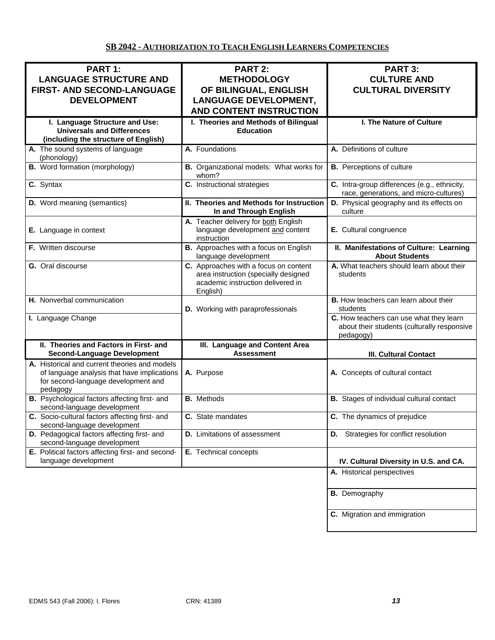# **SB 2042 - AUTHORIZATION TO TEACH ENGLISH LEARNERS COMPETENCIES**

| PART 1:<br><b>LANGUAGE STRUCTURE AND</b><br>FIRST- AND SECOND-LANGUAGE<br><b>DEVELOPMENT</b>                                                    | <b>PART 2:</b><br><b>METHODOLOGY</b><br>OF BILINGUAL, ENGLISH<br><b>LANGUAGE DEVELOPMENT,</b><br><b>AND CONTENT INSTRUCTION</b> | <b>PART 3:</b><br><b>CULTURE AND</b><br><b>CULTURAL DIVERSITY</b>                                   |
|-------------------------------------------------------------------------------------------------------------------------------------------------|---------------------------------------------------------------------------------------------------------------------------------|-----------------------------------------------------------------------------------------------------|
| I. Language Structure and Use:<br><b>Universals and Differences</b><br>(including the structure of English)                                     | I. Theories and Methods of Bilingual<br><b>Education</b>                                                                        | I. The Nature of Culture                                                                            |
| A. The sound systems of language<br>(phonology)                                                                                                 | A. Foundations                                                                                                                  | A. Definitions of culture                                                                           |
| <b>B.</b> Word formation (morphology)                                                                                                           | B. Organizational models: What works for<br>whom?                                                                               | <b>B.</b> Perceptions of culture                                                                    |
| C. Syntax                                                                                                                                       | C. Instructional strategies                                                                                                     | C. Intra-group differences (e.g., ethnicity,<br>race, generations, and micro-cultures)              |
| D. Word meaning (semantics)                                                                                                                     | II. Theories and Methods for Instruction<br>In and Through English                                                              | D. Physical geography and its effects on<br>culture                                                 |
| E. Language in context                                                                                                                          | A. Teacher delivery for both English<br>language development and content<br>instruction                                         | E. Cultural congruence                                                                              |
| F. Written discourse                                                                                                                            | <b>B.</b> Approaches with a focus on English<br>language development                                                            | II. Manifestations of Culture: Learning<br><b>About Students</b>                                    |
| G. Oral discourse                                                                                                                               | C. Approaches with a focus on content<br>area instruction (specially designed<br>academic instruction delivered in<br>English)  | A. What teachers should learn about their<br>students                                               |
| H. Nonverbal communication                                                                                                                      | D. Working with paraprofessionals                                                                                               | B. How teachers can learn about their<br>students                                                   |
| I. Language Change                                                                                                                              |                                                                                                                                 | C. How teachers can use what they learn<br>about their students (culturally responsive<br>pedagogy) |
| II. Theories and Factors in First- and<br><b>Second-Language Development</b>                                                                    | III. Language and Content Area<br><b>Assessment</b>                                                                             | <b>III. Cultural Contact</b>                                                                        |
| A. Historical and current theories and models<br>of language analysis that have implications<br>for second-language development and<br>pedagogy | A. Purpose                                                                                                                      | A. Concepts of cultural contact                                                                     |
| B. Psychological factors affecting first- and<br>second-language development                                                                    | <b>B.</b> Methods                                                                                                               | <b>B.</b> Stages of individual cultural contact                                                     |
| C. Socio-cultural factors affecting first- and<br>second-language development                                                                   | C. State mandates                                                                                                               | C. The dynamics of prejudice                                                                        |
| D. Pedagogical factors affecting first- and<br>second-language development                                                                      | <b>D.</b> Limitations of assessment                                                                                             | <b>D.</b> Strategies for conflict resolution                                                        |
| E. Political factors affecting first- and second-<br>language development                                                                       | E. Technical concepts                                                                                                           | IV. Cultural Diversity in U.S. and CA.                                                              |
|                                                                                                                                                 |                                                                                                                                 | A. Historical perspectives                                                                          |
|                                                                                                                                                 |                                                                                                                                 | <b>B.</b> Demography                                                                                |
|                                                                                                                                                 |                                                                                                                                 | C. Migration and immigration                                                                        |